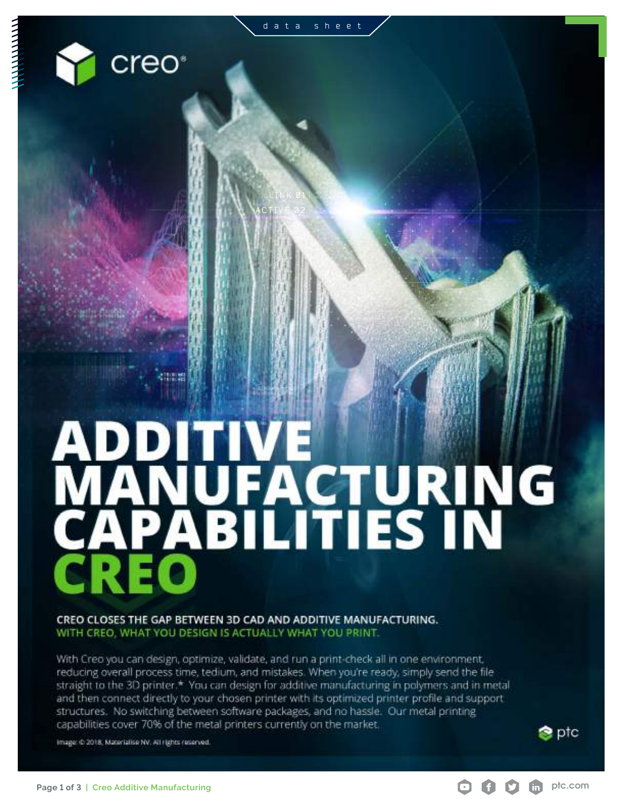creo<sup>®</sup>



CREO CLOSES THE GAP BETWEEN 3D CAD AND ADDITIVE MANUFACTURING. WITH CREO, WHAT YOU DESIGN IS ACTUALLY WHAT YOU PRINT.

With Creo you can design, optimize, validate, and run a print-check all in one environment, reducing overall process time, tedium, and mistakes. When you're ready, simply send the file straight to the 3D printer.\* You can design for additive manufacturing in polymers and in metal and then connect directly to your chosen printer with its optimized printer profile and support structures. No switching between software packages, and no hassle. Our metal printing capabilities cover 70% of the metal printers currently on the market.

Image: @ 2018, Materialise NV. All rights reserved.



**S** ptc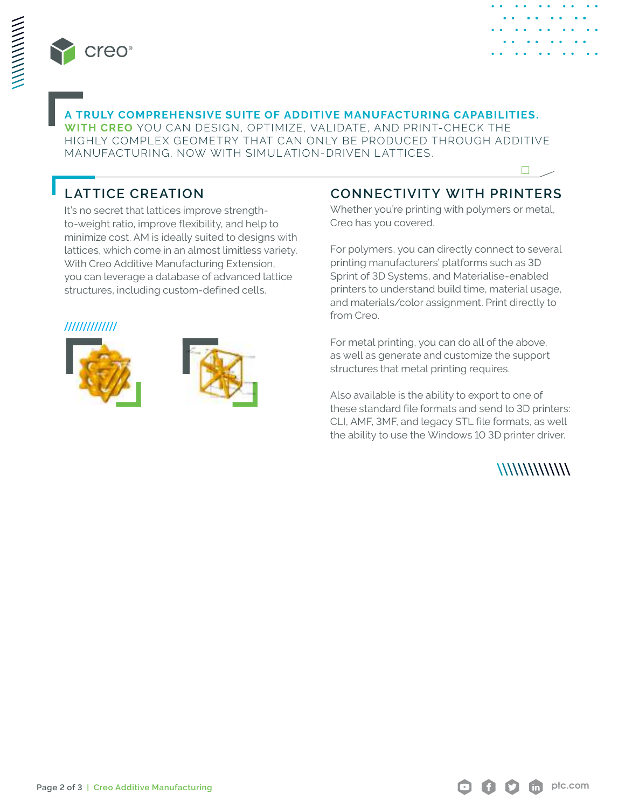



 $\Box$ 

#### **A TRULY COMPREHENSIVE SUITE OF ADDITIVE MANUFACTURING CAPABILITIES.**

**WITH CREO** YOU CAN DESIGN, OPTIMIZE, VALIDATE, AND PRINT-CHECK THE HIGHLY COMPLEX GEOMETRY THAT CAN ONLY BE PRODUCED THROUGH ADDITIVE MANUFACTURING. NOW WITH SIMULATION-DRIVEN LATTICES.

## **LATTICE CREATION**

It's no secret that lattices improve strengthto-weight ratio, improve flexibility, and help to minimize cost. AM is ideally suited to designs with lattices, which come in an almost limitless variety. With Creo Additive Manufacturing Extension, you can leverage a database of advanced lattice structures, including custom-defined cells.

#### /////////////





### **CONNECTIVITY WITH PRINTERS**

Whether you're printing with polymers or metal, Creo has you covered.

For polymers, you can directly connect to several printing manufacturers' platforms such as 3D Sprint of 3D Systems, and Materialise-enabled printers to understand build time, material usage, and materials/color assignment. Print directly to from Creo.

For metal printing, you can do all of the above, as well as generate and customize the support structures that metal printing requires.

Also available is the ability to export to one of these standard file formats and send to 3D printers: CLI, AMF, 3MF, and legacy STL file formats, as well the ability to use the Windows 10 3D printer driver.

#